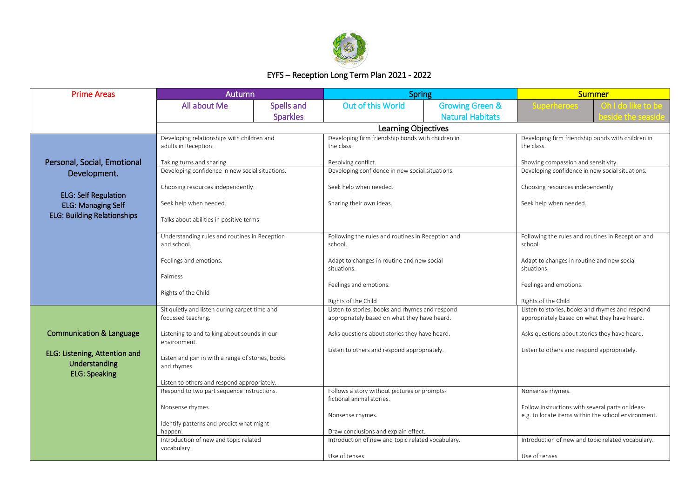

## EYFS – Reception Long Term Plan 2021 - 2022

| <b>Prime Areas</b>                    | Autumn                                                       |                 | <b>Spring</b>                                                                             |                            | <b>Summer</b>                                                |  |  |
|---------------------------------------|--------------------------------------------------------------|-----------------|-------------------------------------------------------------------------------------------|----------------------------|--------------------------------------------------------------|--|--|
|                                       | All about Me                                                 | Spells and      | <b>Out of this World</b>                                                                  | <b>Growing Green &amp;</b> |                                                              |  |  |
|                                       |                                                              | <b>Sparkles</b> |                                                                                           | <b>Natural Habitats</b>    |                                                              |  |  |
|                                       |                                                              |                 | <b>Learning Objectives</b>                                                                |                            |                                                              |  |  |
|                                       | Developing relationships with children and                   |                 | Developing firm friendship bonds with children in                                         |                            | Developing firm friendship bonds with children in            |  |  |
|                                       | adults in Reception.                                         |                 | the class.                                                                                |                            | the class.                                                   |  |  |
| Personal, Social, Emotional           | Taking turns and sharing.                                    |                 | Resolving conflict.                                                                       |                            | Showing compassion and sensitivity.                          |  |  |
| Development.                          | Developing confidence in new social situations.              |                 | Developing confidence in new social situations.                                           |                            | Developing confidence in new social situations.              |  |  |
|                                       | Choosing resources independently.                            |                 | Seek help when needed.                                                                    |                            | Choosing resources independently.                            |  |  |
| <b>ELG: Self Regulation</b>           |                                                              |                 |                                                                                           |                            |                                                              |  |  |
| <b>ELG: Managing Self</b>             | Seek help when needed.                                       |                 | Sharing their own ideas.                                                                  |                            | Seek help when needed.                                       |  |  |
| <b>ELG: Building Relationships</b>    | Talks about abilities in positive terms                      |                 |                                                                                           |                            |                                                              |  |  |
|                                       |                                                              |                 |                                                                                           |                            |                                                              |  |  |
|                                       | Understanding rules and routines in Reception<br>and school. |                 | Following the rules and routines in Reception and<br>school.                              |                            | Following the rules and routines in Reception and<br>school. |  |  |
|                                       |                                                              |                 |                                                                                           |                            |                                                              |  |  |
|                                       | Feelings and emotions.                                       |                 | Adapt to changes in routine and new social<br>situations.                                 |                            | Adapt to changes in routine and new social<br>situations.    |  |  |
|                                       | Fairness                                                     |                 |                                                                                           |                            |                                                              |  |  |
|                                       | Rights of the Child                                          |                 | Feelings and emotions.                                                                    |                            | Feelings and emotions.                                       |  |  |
|                                       |                                                              |                 | Rights of the Child                                                                       |                            | Rights of the Child                                          |  |  |
|                                       | Sit quietly and listen during carpet time and                |                 | Listen to stories, books and rhymes and respond                                           |                            | Listen to stories, books and rhymes and respond              |  |  |
|                                       | focussed teaching.                                           |                 | appropriately based on what they have heard.                                              |                            | appropriately based on what they have heard.                 |  |  |
| <b>Communication &amp; Language</b>   | Listening to and talking about sounds in our                 |                 | Asks questions about stories they have heard.                                             |                            | Asks questions about stories they have heard.                |  |  |
|                                       | environment.                                                 |                 | Listen to others and respond appropriately.                                               |                            | Listen to others and respond appropriately.                  |  |  |
| ELG: Listening, Attention and         | Listen and join in with a range of stories, books            |                 |                                                                                           |                            |                                                              |  |  |
| Understanding<br><b>ELG: Speaking</b> | and rhymes.                                                  |                 |                                                                                           |                            |                                                              |  |  |
|                                       | Listen to others and respond appropriately.                  |                 |                                                                                           |                            |                                                              |  |  |
|                                       | Respond to two part sequence instructions.                   |                 | Follows a story without pictures or prompts-                                              |                            | Nonsense rhymes.                                             |  |  |
|                                       | Nonsense rhymes.                                             |                 | fictional animal stories.                                                                 |                            | Follow instructions with several parts or ideas-             |  |  |
|                                       |                                                              |                 | Nonsense rhymes.                                                                          |                            | e.g. to locate items within the school environment.          |  |  |
|                                       | Identify patterns and predict what might                     |                 |                                                                                           |                            |                                                              |  |  |
|                                       | happen.<br>Introduction of new and topic related             |                 | Draw conclusions and explain effect.<br>Introduction of new and topic related vocabulary. |                            | Introduction of new and topic related vocabulary.            |  |  |
|                                       | vocabulary.                                                  |                 |                                                                                           |                            |                                                              |  |  |
|                                       |                                                              |                 | Use of tenses                                                                             |                            | Use of tenses                                                |  |  |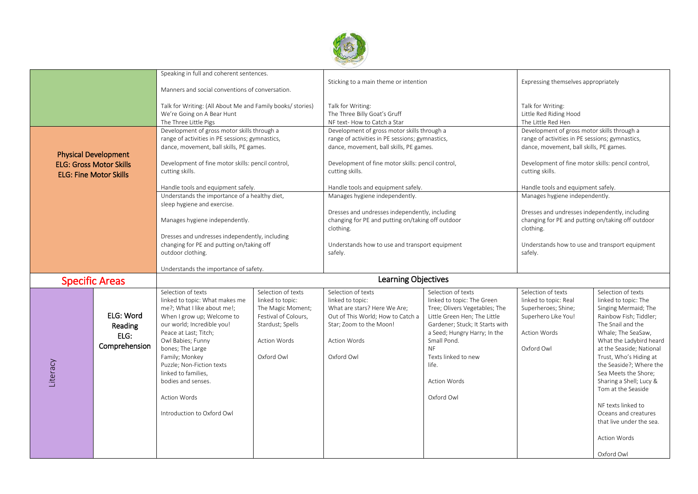

|                                                                                                                                                                      |                                               | Speaking in full and coherent sentences.                                                                                                                                                                                                                                                                                                                           |                                                                                                                                              | Sticking to a main theme or intention                                                                                                                                                                                                                   |                                                                                                                                                                                                                                                                                       | Expressing themselves appropriately                                                                                                                                                                                                                     |                                                                                                                                                                                                                                                                                                                                                                                                                                      |
|----------------------------------------------------------------------------------------------------------------------------------------------------------------------|-----------------------------------------------|--------------------------------------------------------------------------------------------------------------------------------------------------------------------------------------------------------------------------------------------------------------------------------------------------------------------------------------------------------------------|----------------------------------------------------------------------------------------------------------------------------------------------|---------------------------------------------------------------------------------------------------------------------------------------------------------------------------------------------------------------------------------------------------------|---------------------------------------------------------------------------------------------------------------------------------------------------------------------------------------------------------------------------------------------------------------------------------------|---------------------------------------------------------------------------------------------------------------------------------------------------------------------------------------------------------------------------------------------------------|--------------------------------------------------------------------------------------------------------------------------------------------------------------------------------------------------------------------------------------------------------------------------------------------------------------------------------------------------------------------------------------------------------------------------------------|
| Manners and social conventions of conversation.<br>Talk for Writing: (All About Me and Family books/ stories)<br>We're Going on A Bear Hunt<br>The Three Little Pigs |                                               |                                                                                                                                                                                                                                                                                                                                                                    | Talk for Writing:<br>The Three Billy Goat's Gruff<br>NF text- How to Catch a Star                                                            |                                                                                                                                                                                                                                                         | Talk for Writing:<br>Little Red Riding Hood<br>The Little Red Hen                                                                                                                                                                                                                     |                                                                                                                                                                                                                                                         |                                                                                                                                                                                                                                                                                                                                                                                                                                      |
| <b>Physical Development</b><br><b>ELG: Gross Motor Skills</b><br><b>ELG: Fine Motor Skills</b>                                                                       |                                               | Development of gross motor skills through a<br>range of activities in PE sessions; gymnastics,<br>dance, movement, ball skills, PE games.<br>Development of fine motor skills: pencil control,<br>cutting skills.<br>Handle tools and equipment safely.                                                                                                            |                                                                                                                                              | Development of gross motor skills through a<br>range of activities in PE sessions; gymnastics,<br>dance, movement, ball skills, PE games.<br>Development of fine motor skills: pencil control,<br>cutting skills.<br>Handle tools and equipment safely. |                                                                                                                                                                                                                                                                                       | Development of gross motor skills through a<br>range of activities in PE sessions; gymnastics,<br>dance, movement, ball skills, PE games.<br>Development of fine motor skills: pencil control,<br>cutting skills.<br>Handle tools and equipment safely. |                                                                                                                                                                                                                                                                                                                                                                                                                                      |
|                                                                                                                                                                      |                                               | Understands the importance of a healthy diet,<br>sleep hygiene and exercise.<br>Manages hygiene independently.                                                                                                                                                                                                                                                     |                                                                                                                                              | Manages hygiene independently.<br>Dresses and undresses independently, including<br>changing for PE and putting on/taking off outdoor                                                                                                                   |                                                                                                                                                                                                                                                                                       | Manages hygiene independently.<br>Dresses and undresses independently, including<br>changing for PE and putting on/taking off outdoor                                                                                                                   |                                                                                                                                                                                                                                                                                                                                                                                                                                      |
|                                                                                                                                                                      |                                               | Dresses and undresses independently, including<br>changing for PE and putting on/taking off<br>outdoor clothing.                                                                                                                                                                                                                                                   |                                                                                                                                              | clothing.<br>Understands how to use and transport equipment<br>safely.                                                                                                                                                                                  |                                                                                                                                                                                                                                                                                       | clothing.<br>Understands how to use and transport equipment<br>safely.                                                                                                                                                                                  |                                                                                                                                                                                                                                                                                                                                                                                                                                      |
|                                                                                                                                                                      |                                               | Understands the importance of safety.                                                                                                                                                                                                                                                                                                                              |                                                                                                                                              |                                                                                                                                                                                                                                                         |                                                                                                                                                                                                                                                                                       |                                                                                                                                                                                                                                                         |                                                                                                                                                                                                                                                                                                                                                                                                                                      |
|                                                                                                                                                                      | <b>Specific Areas</b>                         | <b>Learning Objectives</b>                                                                                                                                                                                                                                                                                                                                         |                                                                                                                                              |                                                                                                                                                                                                                                                         |                                                                                                                                                                                                                                                                                       |                                                                                                                                                                                                                                                         |                                                                                                                                                                                                                                                                                                                                                                                                                                      |
| Literacy                                                                                                                                                             | ELG: Word<br>Reading<br>ELG:<br>Comprehension | Selection of texts<br>linked to topic: What makes me<br>me?; What I like about me!;<br>When I grow up; Welcome to<br>our world; Incredible you!<br>Peace at Last; Titch;<br>Owl Babies; Funny<br>bones; The Large<br>Family; Monkey<br>Puzzle; Non-Fiction texts<br>linked to families,<br>bodies and senses.<br><b>Action Words</b><br>Introduction to Oxford Owl | Selection of texts<br>linked to topic:<br>The Magic Moment;<br>Festival of Colours,<br>Stardust; Spells<br><b>Action Words</b><br>Oxford Owl | Selection of texts<br>linked to topic:<br>What are stars? Here We Are;<br>Out of This World; How to Catch a<br>Star; Zoom to the Moon!<br><b>Action Words</b><br>Oxford Owl                                                                             | Selection of texts<br>linked to topic: The Green<br>Tree; Olivers Vegetables; The<br>Little Green Hen; The Little<br>Gardener; Stuck; It Starts with<br>a Seed; Hungry Harry; In the<br>Small Pond.<br><b>NF</b><br>Texts linked to new<br>life.<br><b>Action Words</b><br>Oxford Owl | Selection of texts<br>linked to topic: Real<br>Superheroes; Shine;<br>Superhero Like You!<br><b>Action Words</b><br>Oxford Owl                                                                                                                          | Selection of texts<br>linked to topic: The<br>Singing Mermaid; The<br>Rainbow Fish; Tiddler;<br>The Snail and the<br>Whale; The SeaSaw,<br>What the Ladybird heard<br>at the Seaside; National<br>Trust, Who's Hiding at<br>the Seaside?; Where the<br>Sea Meets the Shore;<br>Sharing a Shell; Lucy &<br>Tom at the Seaside<br>NF texts linked to<br>Oceans and creatures<br>that live under the sea.<br>Action Words<br>Oxford Owl |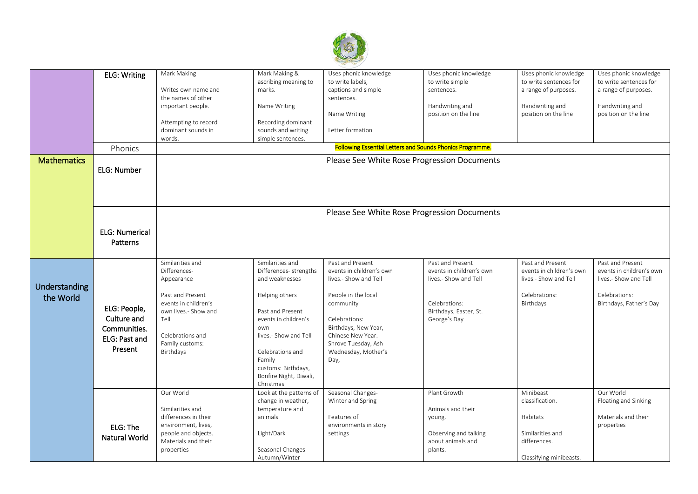

|                    | <b>ELG: Writing</b>   | Mark Making          | Mark Making &           | Uses phonic knowledge                                            | Uses phonic knowledge    | Uses phonic knowledge    | Uses phonic knowledge    |
|--------------------|-----------------------|----------------------|-------------------------|------------------------------------------------------------------|--------------------------|--------------------------|--------------------------|
|                    |                       |                      | ascribing meaning to    | to write labels,                                                 | to write simple          | to write sentences for   | to write sentences for   |
|                    |                       | Writes own name and  | marks.                  | captions and simple                                              | sentences.               | a range of purposes.     | a range of purposes.     |
|                    |                       | the names of other   |                         | sentences.                                                       |                          |                          |                          |
|                    |                       | important people.    | Name Writing            |                                                                  | Handwriting and          | Handwriting and          | Handwriting and          |
|                    |                       |                      |                         |                                                                  | position on the line     | position on the line     | position on the line     |
|                    |                       |                      |                         | Name Writing                                                     |                          |                          |                          |
|                    |                       | Attempting to record | Recording dominant      |                                                                  |                          |                          |                          |
|                    |                       | dominant sounds in   | sounds and writing      | Letter formation                                                 |                          |                          |                          |
|                    |                       | words.               | simple sentences.       |                                                                  |                          |                          |                          |
|                    | Phonics               |                      |                         | <b>Following Essential Letters and Sounds Phonics Programme.</b> |                          |                          |                          |
| <b>Mathematics</b> |                       |                      |                         | Please See White Rose Progression Documents                      |                          |                          |                          |
|                    | <b>ELG: Number</b>    |                      |                         |                                                                  |                          |                          |                          |
|                    |                       |                      |                         |                                                                  |                          |                          |                          |
|                    |                       |                      |                         |                                                                  |                          |                          |                          |
|                    |                       |                      |                         |                                                                  |                          |                          |                          |
|                    |                       |                      |                         |                                                                  |                          |                          |                          |
|                    |                       |                      |                         | Please See White Rose Progression Documents                      |                          |                          |                          |
|                    |                       |                      |                         |                                                                  |                          |                          |                          |
|                    | <b>ELG: Numerical</b> |                      |                         |                                                                  |                          |                          |                          |
|                    |                       |                      |                         |                                                                  |                          |                          |                          |
|                    | Patterns              |                      |                         |                                                                  |                          |                          |                          |
|                    |                       |                      |                         |                                                                  |                          |                          |                          |
|                    |                       | Similarities and     | Similarities and        | Past and Present                                                 | Past and Present         | Past and Present         | Past and Present         |
|                    |                       | Differences-         | Differences- strengths  | events in children's own                                         | events in children's own | events in children's own | events in children's own |
|                    |                       | Appearance           | and weaknesses          | lives.- Show and Tell                                            | lives.- Show and Tell    | lives.- Show and Tell    | lives.- Show and Tell    |
| Understanding      |                       |                      |                         |                                                                  |                          |                          |                          |
|                    |                       | Past and Present     | Helping others          | People in the local                                              |                          | Celebrations:            | Celebrations:            |
| the World          |                       | events in children's |                         |                                                                  | Celebrations:            |                          |                          |
|                    | ELG: People,          |                      |                         | community                                                        |                          | Birthdays                | Birthdays, Father's Day  |
|                    |                       | own lives.- Show and | Past and Present        |                                                                  | Birthdays, Easter, St.   |                          |                          |
|                    | Culture and           | Tell                 | events in children's    | Celebrations:                                                    | George's Day             |                          |                          |
|                    | Communities.          |                      | own                     | Birthdays, New Year,                                             |                          |                          |                          |
|                    | ELG: Past and         | Celebrations and     | lives.- Show and Tell   | Chinese New Year.                                                |                          |                          |                          |
|                    |                       | Family customs:      |                         | Shrove Tuesday, Ash                                              |                          |                          |                          |
|                    | Present               | Birthdays            | Celebrations and        | Wednesday, Mother's                                              |                          |                          |                          |
|                    |                       |                      | Family                  | Day,                                                             |                          |                          |                          |
|                    |                       |                      | customs: Birthdays,     |                                                                  |                          |                          |                          |
|                    |                       |                      | Bonfire Night, Diwali,  |                                                                  |                          |                          |                          |
|                    |                       |                      | Christmas               |                                                                  |                          |                          |                          |
|                    |                       | Our World            | Look at the patterns of | Seasonal Changes-                                                | Plant Growth             | Minibeast                | Our World                |
|                    |                       |                      | change in weather,      | Winter and Spring                                                |                          | classification.          | Floating and Sinking     |
|                    |                       | Similarities and     | temperature and         |                                                                  | Animals and their        |                          |                          |
|                    |                       | differences in their | animals.                | Features of                                                      | young.                   | Habitats                 | Materials and their      |
|                    |                       | environment, lives,  |                         | environments in story                                            |                          |                          | properties               |
|                    | ELG: The              | people and objects.  | Light/Dark              | settings                                                         | Observing and talking    | Similarities and         |                          |
|                    | Natural World         | Materials and their  |                         |                                                                  | about animals and        |                          |                          |
|                    |                       |                      |                         |                                                                  |                          | differences.             |                          |
|                    |                       | properties           | Seasonal Changes-       |                                                                  | plants.                  |                          |                          |
|                    |                       |                      | Autumn/Winter           |                                                                  |                          | Classifying minibeasts.  |                          |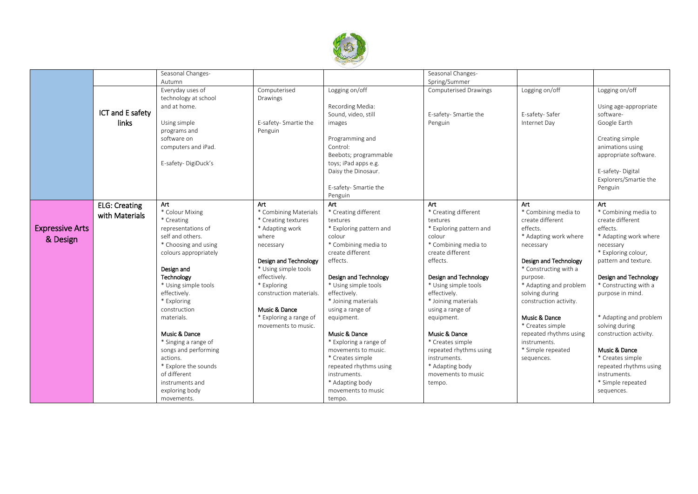

|                        |                      | Seasonal Changes-     |                         |                         | Seasonal Changes-            |                        |                        |
|------------------------|----------------------|-----------------------|-------------------------|-------------------------|------------------------------|------------------------|------------------------|
|                        |                      | Autumn                |                         |                         | Spring/Summer                |                        |                        |
|                        |                      | Everyday uses of      | Computerised            | Logging on/off          | <b>Computerised Drawings</b> | Logging on/off         | Logging on/off         |
|                        |                      | technology at school  | Drawings                |                         |                              |                        |                        |
|                        |                      | and at home.          |                         | Recording Media:        |                              |                        | Using age-appropriate  |
|                        | ICT and E safety     |                       |                         | Sound, video, still     | E-safety- Smartie the        | E-safety-Safer         | software-              |
|                        | links                | Using simple          | E-safety- Smartie the   | images                  | Penguin                      | Internet Day           | Google Earth           |
|                        |                      | programs and          | Penguin                 |                         |                              |                        |                        |
|                        |                      | software on           |                         | Programming and         |                              |                        | Creating simple        |
|                        |                      |                       |                         | Control:                |                              |                        |                        |
|                        |                      | computers and iPad.   |                         |                         |                              |                        | animations using       |
|                        |                      |                       |                         | Beebots; programmable   |                              |                        | appropriate software.  |
|                        |                      | E-safety-DigiDuck's   |                         | toys; iPad apps e.g.    |                              |                        |                        |
|                        |                      |                       |                         | Daisy the Dinosaur.     |                              |                        | E-safety-Digital       |
|                        |                      |                       |                         |                         |                              |                        | Explorers/Smartie the  |
|                        |                      |                       |                         | E-safety- Smartie the   |                              |                        | Penguin                |
|                        |                      |                       |                         | Penguin                 |                              |                        |                        |
|                        | <b>ELG: Creating</b> | Art                   | Art                     | Art                     | Art                          | Art                    | Art                    |
|                        | with Materials       | * Colour Mixing       | * Combining Materials   | * Creating different    | * Creating different         | * Combining media to   | * Combining media to   |
|                        |                      | * Creating            | * Creating textures     | textures                | textures                     | create different       | create different       |
| <b>Expressive Arts</b> |                      | representations of    | * Adapting work         | * Exploring pattern and | * Exploring pattern and      | effects.               | effects.               |
| & Design               |                      | self and others.      | where                   | colour                  | colour                       | * Adapting work where  | * Adapting work where  |
|                        |                      | * Choosing and using  | necessary               | * Combining media to    | * Combining media to         | necessary              | necessary              |
|                        |                      | colours appropriately |                         | create different        | create different             |                        | * Exploring colour,    |
|                        |                      |                       | Design and Technology   | effects.                | effects.                     | Design and Technology  | pattern and texture.   |
|                        |                      | Design and            | * Using simple tools    |                         |                              | * Constructing with a  |                        |
|                        |                      | Technology            | effectively.            | Design and Technology   | Design and Technology        | purpose.               | Design and Technology  |
|                        |                      | * Using simple tools  | * Exploring             | * Using simple tools    | * Using simple tools         | * Adapting and problem | * Constructing with a  |
|                        |                      | effectively.          | construction materials. | effectively.            | effectively.                 | solving during         | purpose in mind.       |
|                        |                      | * Exploring           |                         | * Joining materials     | * Joining materials          | construction activity. |                        |
|                        |                      | construction          | Music & Dance           | using a range of        | using a range of             |                        |                        |
|                        |                      | materials.            | * Exploring a range of  | equipment.              | equipment.                   | Music & Dance          | * Adapting and problem |
|                        |                      |                       | movements to music.     |                         |                              | * Creates simple       | solving during         |
|                        |                      | Music & Dance         |                         | Music & Dance           | Music & Dance                | repeated rhythms using | construction activity. |
|                        |                      | * Singing a range of  |                         | * Exploring a range of  | * Creates simple             | instruments.           |                        |
|                        |                      | songs and performing  |                         | movements to music.     | repeated rhythms using       | * Simple repeated      | Music & Dance          |
|                        |                      | actions.              |                         | * Creates simple        | instruments.                 | sequences.             | * Creates simple       |
|                        |                      | * Explore the sounds  |                         | repeated rhythms using  | * Adapting body              |                        | repeated rhythms using |
|                        |                      | of different          |                         | instruments.            | movements to music           |                        | instruments.           |
|                        |                      | instruments and       |                         | * Adapting body         | tempo.                       |                        | * Simple repeated      |
|                        |                      | exploring body        |                         | movements to music      |                              |                        | sequences.             |
|                        |                      | movements.            |                         | tempo.                  |                              |                        |                        |
|                        |                      |                       |                         |                         |                              |                        |                        |